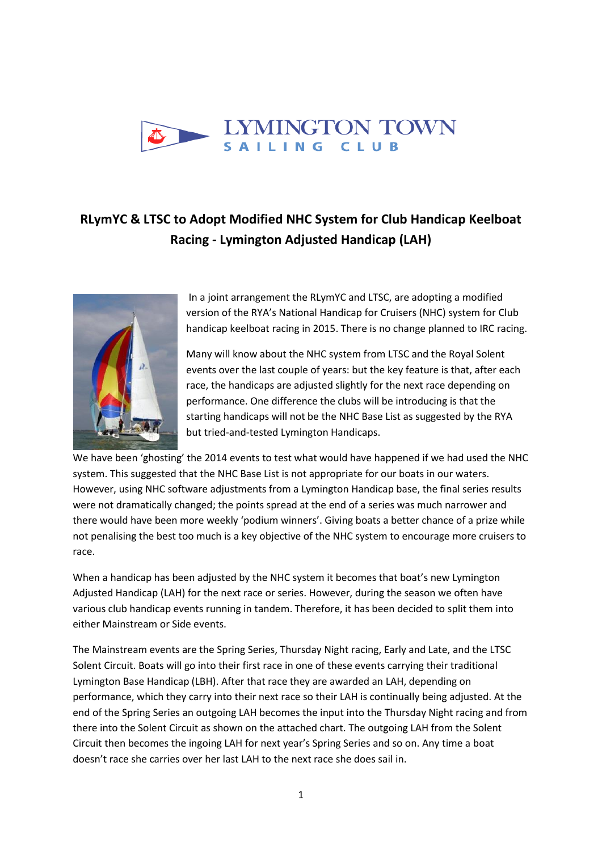

## **RLymYC & LTSC to Adopt Modified NHC System for Club Handicap Keelboat Racing - Lymington Adjusted Handicap (LAH)**



In a joint arrangement the RLymYC and LTSC, are adopting a modified version of the RYA's National Handicap for Cruisers (NHC) system for Club handicap keelboat racing in 2015. There is no change planned to IRC racing.

Many will know about the NHC system from LTSC and the Royal Solent events over the last couple of years: but the key feature is that, after each race, the handicaps are adjusted slightly for the next race depending on performance. One difference the clubs will be introducing is that the starting handicaps will not be the NHC Base List as suggested by the RYA but tried-and-tested Lymington Handicaps.

We have been 'ghosting' the 2014 events to test what would have happened if we had used the NHC system. This suggested that the NHC Base List is not appropriate for our boats in our waters. However, using NHC software adjustments from a Lymington Handicap base, the final series results were not dramatically changed; the points spread at the end of a series was much narrower and there would have been more weekly 'podium winners'. Giving boats a better chance of a prize while not penalising the best too much is a key objective of the NHC system to encourage more cruisers to race.

When a handicap has been adjusted by the NHC system it becomes that boat's new Lymington Adjusted Handicap (LAH) for the next race or series. However, during the season we often have various club handicap events running in tandem. Therefore, it has been decided to split them into either Mainstream or Side events.

The Mainstream events are the Spring Series, Thursday Night racing, Early and Late, and the LTSC Solent Circuit. Boats will go into their first race in one of these events carrying their traditional Lymington Base Handicap (LBH). After that race they are awarded an LAH, depending on performance, which they carry into their next race so their LAH is continually being adjusted. At the end of the Spring Series an outgoing LAH becomes the input into the Thursday Night racing and from there into the Solent Circuit as shown on the attached chart. The outgoing LAH from the Solent Circuit then becomes the ingoing LAH for next year's Spring Series and so on. Any time a boat doesn't race she carries over her last LAH to the next race she does sail in.